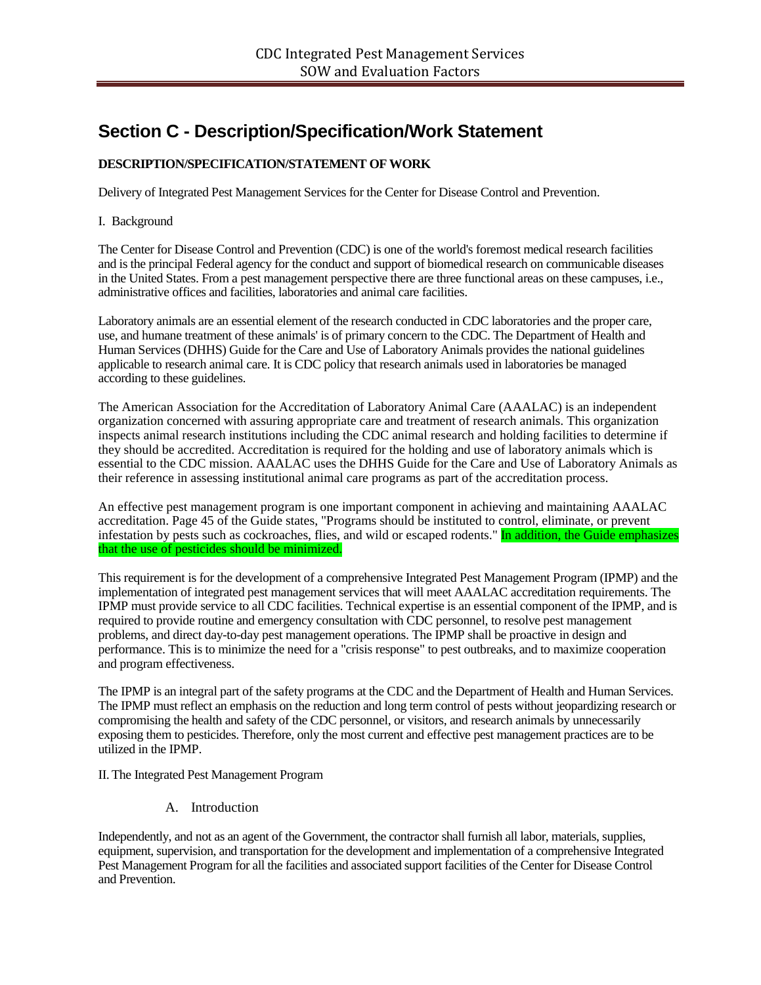# **Section C - Description/Specification/Work Statement**

# **DESCRIPTION/SPECIFICATION/STATEMENT OF WORK**

Delivery of Integrated Pest Management Services for the Center for Disease Control and Prevention.

### I. Background

The Center for Disease Control and Prevention (CDC) is one of the world's foremost medical research facilities and is the principal Federal agency for the conduct and support of biomedical research on communicable diseases in the United States. From a pest management perspective there are three functional areas on these campuses, i.e., administrative offices and facilities, laboratories and animal care facilities.

Laboratory animals are an essential element of the research conducted in CDC laboratories and the proper care, use, and humane treatment of these animals' is of primary concern to the CDC. The Department of Health and Human Services (DHHS) Guide for the Care and Use of Laboratory Animals provides the national guidelines applicable to research animal care. It is CDC policy that research animals used in laboratories be managed according to these guidelines.

The American Association for the Accreditation of Laboratory Animal Care (AAALAC) is an independent organization concerned with assuring appropriate care and treatment of research animals. This organization inspects animal research institutions including the CDC animal research and holding facilities to determine if they should be accredited. Accreditation is required for the holding and use of laboratory animals which is essential to the CDC mission. AAALAC uses the DHHS Guide for the Care and Use of Laboratory Animals as their reference in assessing institutional animal care programs as part of the accreditation process.

An effective pest management program is one important component in achieving and maintaining AAALAC accreditation. Page 45 of the Guide states, "Programs should be instituted to control, eliminate, or prevent infestation by pests such as cockroaches, flies, and wild or escaped rodents." In addition, the Guide emphasizes that the use of pesticides should be minimized.

This requirement is for the development of a comprehensive Integrated Pest Management Program (IPMP) and the implementation of integrated pest management services that will meet AAALAC accreditation requirements. The IPMP must provide service to all CDC facilities. Technical expertise is an essential component of the IPMP, and is required to provide routine and emergency consultation with CDC personnel, to resolve pest management problems, and direct day-to-day pest management operations. The IPMP shall be proactive in design and performance. This is to minimize the need for a "crisis response" to pest outbreaks, and to maximize cooperation and program effectiveness.

The IPMP is an integral part of the safety programs at the CDC and the Department of Health and Human Services. The IPMP must reflect an emphasis on the reduction and long term control of pests without jeopardizing research or compromising the health and safety of the CDC personnel, or visitors, and research animals by unnecessarily exposing them to pesticides. Therefore, only the most current and effective pest management practices are to be utilized in the IPMP.

II. The Integrated Pest Management Program

A. Introduction

Independently, and not as an agent of the Government, the contractor shall furnish all labor, materials, supplies, equipment, supervision, and transportation for the development and implementation of a comprehensive Integrated Pest Management Program for all the facilities and associated support facilities of the Center for Disease Control and Prevention.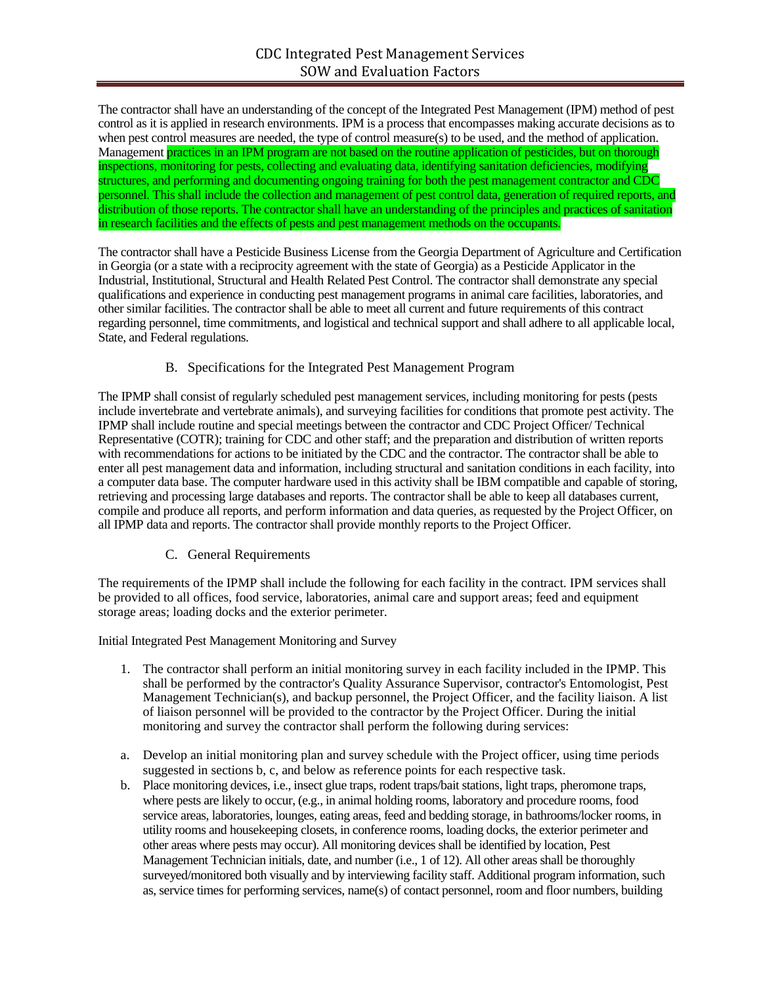The contractor shall have an understanding of the concept of the Integrated Pest Management (IPM) method of pest control as it is applied in research environments. IPM is a process that encompasses making accurate decisions as to when pest control measures are needed, the type of control measure(s) to be used, and the method of application. Management practices in an IPM program are not based on the routine application of pesticides, but on thorough inspections, monitoring for pests, collecting and evaluating data, identifying sanitation deficiencies, modifying structures, and performing and documenting ongoing training for both the pest management contractor and CDC personnel. This shall include the collection and management of pest control data, generation of required reports, and distribution of those reports. The contractor shall have an understanding of the principles and practices of sanitation in research facilities and the effects of pests and pest management methods on the occupants.

The contractor shall have a Pesticide Business License from the Georgia Department of Agriculture and Certification in Georgia (or a state with a reciprocity agreement with the state of Georgia) as a Pesticide Applicator in the Industrial, Institutional, Structural and Health Related Pest Control. The contractor shall demonstrate any special qualifications and experience in conducting pest management programs in animal care facilities, laboratories, and other similar facilities. The contractor shall be able to meet all current and future requirements of this contract regarding personnel, time commitments, and logistical and technical support and shall adhere to all applicable local, State, and Federal regulations.

# B. Specifications for the Integrated Pest Management Program

The IPMP shall consist of regularly scheduled pest management services, including monitoring for pests (pests include invertebrate and vertebrate animals), and surveying facilities for conditions that promote pest activity. The IPMP shall include routine and special meetings between the contractor and CDC Project Officer/ Technical Representative (COTR); training for CDC and other staff; and the preparation and distribution of written reports with recommendations for actions to be initiated by the CDC and the contractor. The contractor shall be able to enter all pest management data and information, including structural and sanitation conditions in each facility, into a computer data base. The computer hardware used in this activity shall be IBM compatible and capable of storing, retrieving and processing large databases and reports. The contractor shall be able to keep all databases current, compile and produce all reports, and perform information and data queries, as requested by the Project Officer, on all IPMP data and reports. The contractor shall provide monthly reports to the Project Officer.

# C. General Requirements

The requirements of the IPMP shall include the following for each facility in the contract. IPM services shall be provided to all offices, food service, laboratories, animal care and support areas; feed and equipment storage areas; loading docks and the exterior perimeter.

Initial Integrated Pest Management Monitoring and Survey

- 1. The contractor shall perform an initial monitoring survey in each facility included in the IPMP. This shall be performed by the contractor's Quality Assurance Supervisor, contractor's Entomologist, Pest Management Technician(s), and backup personnel, the Project Officer, and the facility liaison. A list of liaison personnel will be provided to the contractor by the Project Officer. During the initial monitoring and survey the contractor shall perform the following during services:
- a. Develop an initial monitoring plan and survey schedule with the Project officer, using time periods suggested in sections b, c, and below as reference points for each respective task.
- b. Place monitoring devices, i.e., insect glue traps, rodent traps/bait stations, light traps, pheromone traps, where pests are likely to occur, (e.g., in animal holding rooms, laboratory and procedure rooms, food service areas, laboratories, lounges, eating areas, feed and bedding storage, in bathrooms/locker rooms, in utility rooms and housekeeping closets, in conference rooms, loading docks, the exterior perimeter and other areas where pests may occur). All monitoring devices shall be identified by location, Pest Management Technician initials, date, and number (i.e., 1 of 12). All other areas shall be thoroughly surveyed/monitored both visually and by interviewing facility staff. Additional program information, such as, service times for performing services, name(s) of contact personnel, room and floor numbers, building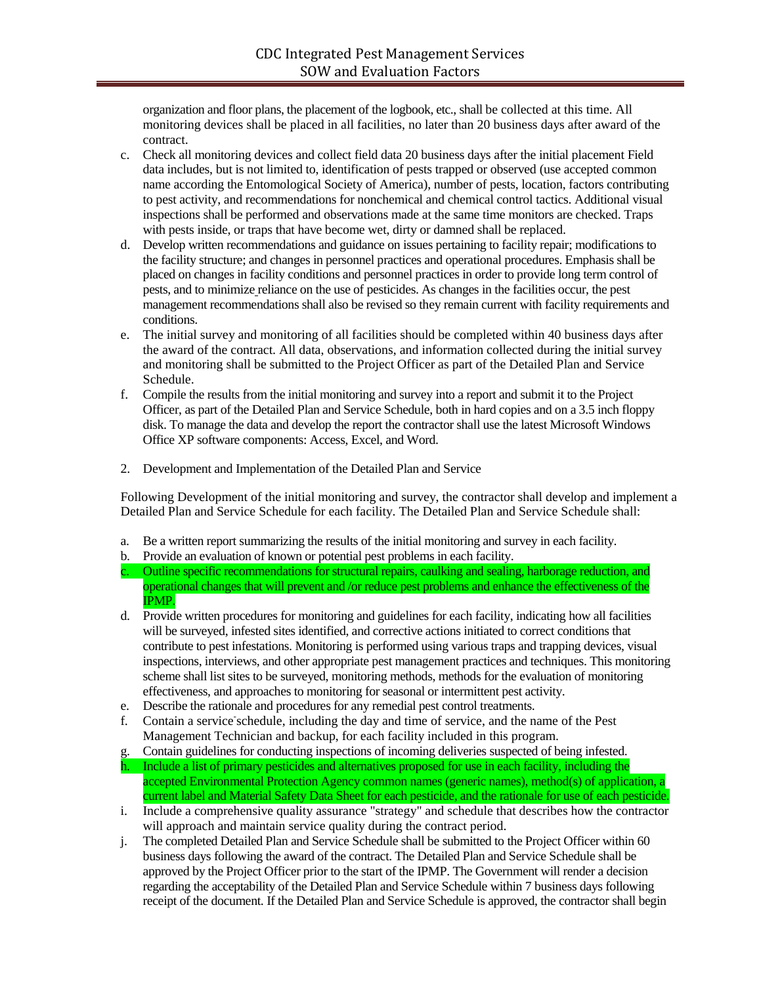organization and floor plans, the placement of the logbook, etc., shall be collected at this time. All monitoring devices shall be placed in all facilities, no later than 20 business days after award of the contract.

- c. Check all monitoring devices and collect field data 20 business days after the initial placement Field data includes, but is not limited to, identification of pests trapped or observed (use accepted common name according the Entomological Society of America), number of pests, location, factors contributing to pest activity, and recommendations for nonchemical and chemical control tactics. Additional visual inspections shall be performed and observations made at the same time monitors are checked. Traps with pests inside, or traps that have become wet, dirty or damned shall be replaced.
- d. Develop written recommendations and guidance on issues pertaining to facility repair; modifications to the facility structure; and changes in personnel practices and operational procedures. Emphasis shall be placed on changes in facility conditions and personnel practices in order to provide long term control of pests, and to minimize reliance on the use of pesticides. As changes in the facilities occur, the pest management recommendations shall also be revised so they remain current with facility requirements and conditions.
- e. The initial survey and monitoring of all facilities should be completed within 40 business days after the award of the contract. All data, observations, and information collected during the initial survey and monitoring shall be submitted to the Project Officer as part of the Detailed Plan and Service Schedule.
- f. Compile the results from the initial monitoring and survey into a report and submit it to the Project Officer, as part of the Detailed Plan and Service Schedule, both in hard copies and on a 3.5 inch floppy disk. To manage the data and develop the report the contractor shall use the latest Microsoft Windows Office XP software components: Access, Excel, and Word.
- 2. Development and Implementation of the Detailed Plan and Service

Following Development of the initial monitoring and survey, the contractor shall develop and implement a Detailed Plan and Service Schedule for each facility. The Detailed Plan and Service Schedule shall:

- a. Be a written report summarizing the results of the initial monitoring and survey in each facility.
- b. Provide an evaluation of known or potential pest problems in each facility.
- c. Outline specific recommendations for structural repairs, caulking and sealing, harborage reduction, and operational changes that will prevent and /or reduce pest problems and enhance the effectiveness of the IPMP.
- d. Provide written procedures for monitoring and guidelines for each facility, indicating how all facilities will be surveyed, infested sites identified, and corrective actions initiated to correct conditions that contribute to pest infestations. Monitoring is performed using various traps and trapping devices, visual inspections, interviews, and other appropriate pest management practices and techniques. This monitoring scheme shall list sites to be surveyed, monitoring methods, methods for the evaluation of monitoring effectiveness, and approaches to monitoring for seasonal or intermittent pest activity.
- e. Describe the rationale and procedures for any remedial pest control treatments.
- f. Contain a service schedule, including the day and time of service, and the name of the Pest Management Technician and backup, for each facility included in this program.
- g. Contain guidelines for conducting inspections of incoming deliveries suspected of being infested. h. Include a list of primary pesticides and alternatives proposed for use in each facility, including the accepted Environmental Protection Agency common names (generic names), method(s) of application, a current label and Material Safety Data Sheet for each pesticide, and the rationale for use of each pesticide.
- i. Include a comprehensive quality assurance "strategy" and schedule that describes how the contractor will approach and maintain service quality during the contract period.
- j. The completed Detailed Plan and Service Schedule shall be submitted to the Project Officer within 60 business days following the award of the contract. The Detailed Plan and Service Schedule shall be approved by the Project Officer prior to the start of the IPMP. The Government will render a decision regarding the acceptability of the Detailed Plan and Service Schedule within 7 business days following receipt of the document. If the Detailed Plan and Service Schedule is approved, the contractor shall begin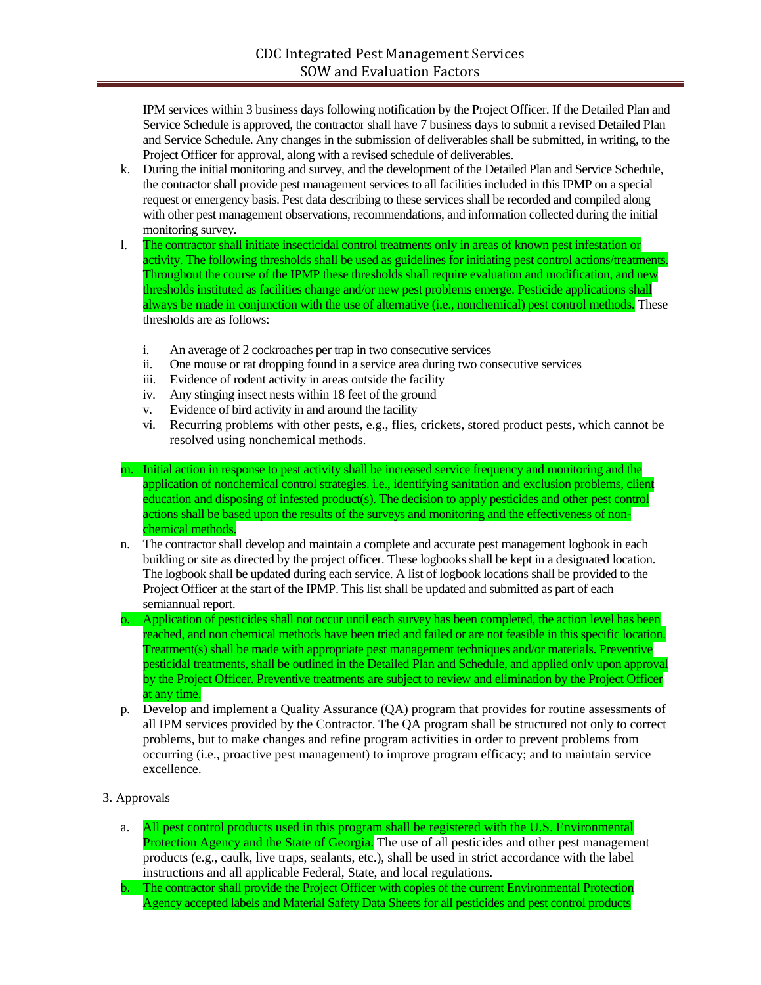IPM services within 3 business days following notification by the Project Officer. If the Detailed Plan and Service Schedule is approved, the contractor shall have 7 business days to submit a revised Detailed Plan and Service Schedule. Any changes in the submission of deliverables shall be submitted, in writing, to the Project Officer for approval, along with a revised schedule of deliverables.

- k. During the initial monitoring and survey, and the development of the Detailed Plan and Service Schedule, the contractor shall provide pest management services to all facilities included in this IPMP on a special request or emergency basis. Pest data describing to these services shall be recorded and compiled along with other pest management observations, recommendations, and information collected during the initial monitoring survey.
- l. The contractor shall initiate insecticidal control treatments only in areas of known pest infestation or activity. The following thresholds shall be used as guidelines for initiating pest control actions/treatments. Throughout the course of the IPMP these thresholds shall require evaluation and modification, and new thresholds instituted as facilities change and/or new pest problems emerge. Pesticide applications shall always be made in conjunction with the use of alternative (i.e., nonchemical) pest control methods. These thresholds are as follows:
	- i. An average of 2 cockroaches per trap in two consecutive services
	- ii. One mouse or rat dropping found in a service area during two consecutive services
	- iii. Evidence of rodent activity in areas outside the facility
	- iv. Any stinging insect nests within 18 feet of the ground
	- v. Evidence of bird activity in and around the facility
	- vi. Recurring problems with other pests, e.g., flies, crickets, stored product pests, which cannot be resolved using nonchemical methods.
- m. Initial action in response to pest activity shall be increased service frequency and monitoring and the application of nonchemical control strategies. i.e., identifying sanitation and exclusion problems, client education and disposing of infested product(s). The decision to apply pesticides and other pest control actions shall be based upon the results of the surveys and monitoring and the effectiveness of nonchemical methods.
- n. The contractor shall develop and maintain a complete and accurate pest management logbook in each building or site as directed by the project officer. These logbooks shall be kept in a designated location. The logbook shall be updated during each service. A list of logbook locations shall be provided to the Project Officer at the start of the IPMP. This list shall be updated and submitted as part of each semiannual report.
- o. Application of pesticides shall not occur until each survey has been completed, the action level has been reached, and non chemical methods have been tried and failed or are not feasible in this specific location. Treatment(s) shall be made with appropriate pest management techniques and/or materials. Preventive pesticidal treatments, shall be outlined in the Detailed Plan and Schedule, and applied only upon approval by the Project Officer. Preventive treatments are subject to review and elimination by the Project Officer at any time.
- p. Develop and implement a Quality Assurance (QA) program that provides for routine assessments of all IPM services provided by the Contractor. The QA program shall be structured not only to correct problems, but to make changes and refine program activities in order to prevent problems from occurring (i.e., proactive pest management) to improve program efficacy; and to maintain service excellence.
- 3. Approvals
	- a. All pest control products used in this program shall be registered with the U.S. Environmental Protection Agency and the State of Georgia. The use of all pesticides and other pest management products (e.g., caulk, live traps, sealants, etc.), shall be used in strict accordance with the label instructions and all applicable Federal, State, and local regulations.
	- b. The contractor shall provide the Project Officer with copies of the current Environmental Protection Agency accepted labels and Material Safety Data Sheets for all pesticides and pest control products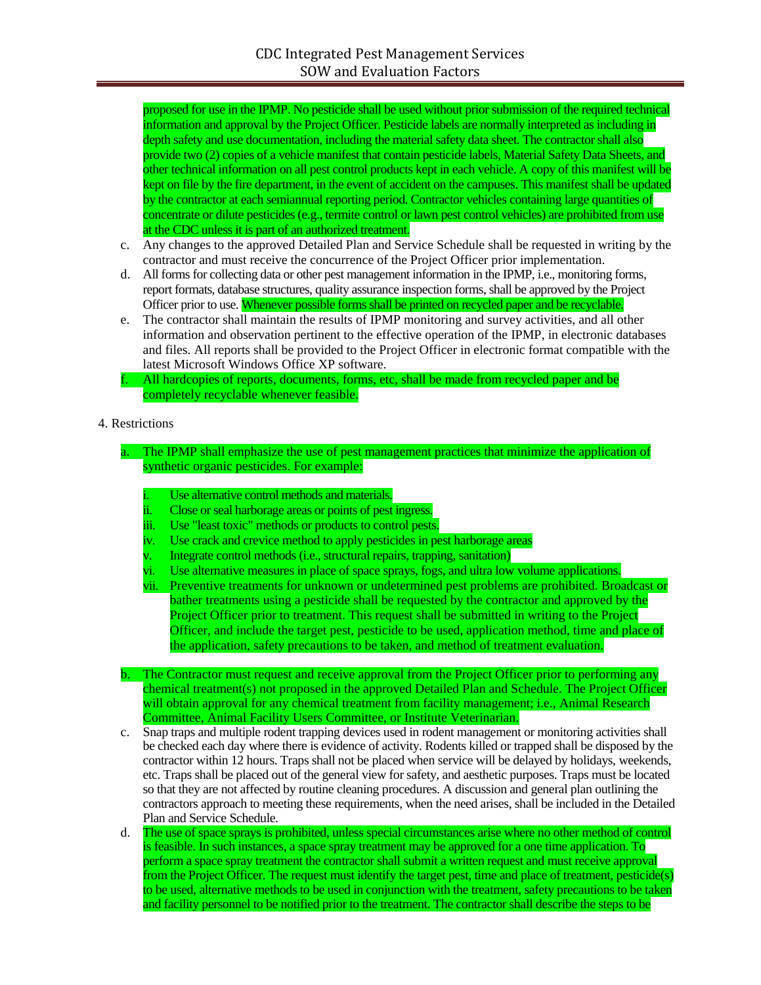proposed for use in the IPMP. No pesticide shall be used without prior submission of the required technical information and approval by the Project Officer. Pesticide labels are normally interpreted as including in depth safety and use documentation, including the material safety data sheet. The contractor shall also provide two (2) copies of a vehicle manifest that contain pesticide labels, Material Safety Data Sheets, and other technical information on all pest control products kept in each vehicle. A copy of this manifest will be kept on file by the fire department, in the event of accident on the campuses. This manifest shall be updated by the contractor at each semiannual reporting period. Contractor vehicles containing large quantities of concentrate or dilute pesticides (e.g., termite control or lawn pest control vehicles) are prohibited from use at the CDC unless it is part of an authorized treatment.

- c. Any changes to the approved Detailed Plan and Service Schedule shall be requested in writing by the contractor and must receive the concurrence of the Project Officer prior implementation.
- d. All forms for collecting data or other pest management information in the IPMP, i.e., monitoring forms, report formats, database structures, quality assurance inspection forms, shall be approved by the Project Officer prior to use. Whenever possible forms shall be printed on recycled paper and be recyclable.
- e. The contractor shall maintain the results of IPMP monitoring and survey activities, and all other information and observation pertinent to the effective operation of the IPMP, in electronic databases and files. All reports shall be provided to the Project Officer in electronic format compatible with the latest Microsoft Windows Office XP software.

f. All hardcopies of reports, documents, forms, etc, shall be made from recycled paper and be completely recyclable whenever feasible.

### 4. Restrictions

- The IPMP shall emphasize the use of pest management practices that minimize the application of synthetic organic pesticides. For example:
	- Use alternative control methods and materials.
	- ii. Close or seal harborage areas or points of pest ingress.
	- iii. Use "least toxic" methods or products to control pests.
	- iv. Use crack and crevice method to apply pesticides in pest harborage areas
	- Integrate control methods (i.e., structural repairs, trapping, sanitation)
	- Use alternative measures in place of space sprays, fogs, and ultra low volume applications.
	- vii. Preventive treatments for unknown or undetermined pest problems are prohibited. Broadcast or bather treatments using a pesticide shall be requested by the contractor and approved by the Project Officer prior to treatment. This request shall be submitted in writing to the Project Officer, and include the target pest, pesticide to be used, application method, time and place of the application, safety precautions to be taken, and method of treatment evaluation.
- b. The Contractor must request and receive approval from the Project Officer prior to performing any chemical treatment(s) not proposed in the approved Detailed Plan and Schedule. The Project Officer will obtain approval for any chemical treatment from facility management; i.e., Animal Research Committee, Animal Facility Users Committee, or Institute Veterinarian.
- c. Snap traps and multiple rodent trapping devices used in rodent management or monitoring activities shall be checked each day where there is evidence of activity. Rodents killed or trapped shall be disposed by the contractor within 12 hours. Traps shall not be placed when service will be delayed by holidays, weekends, etc. Traps shall be placed out of the general view for safety, and aesthetic purposes. Traps must be located so that they are not affected by routine cleaning procedures. A discussion and general plan outlining the contractors approach to meeting these requirements, when the need arises, shall be included in the Detailed Plan and Service Schedule.
- d. The use of space sprays is prohibited, unless special circumstances arise where no other method of control is feasible. In such instances, a space spray treatment may be approved for a one time application. To perform a space spray treatment the contractor shall submit a written request and must receive approval from the Project Officer. The request must identify the target pest, time and place of treatment, pesticide(s) to be used, alternative methods to be used in conjunction with the treatment, safety precautions to be taken and facility personnel to be notified prior to the treatment. The contractor shall describe the steps to be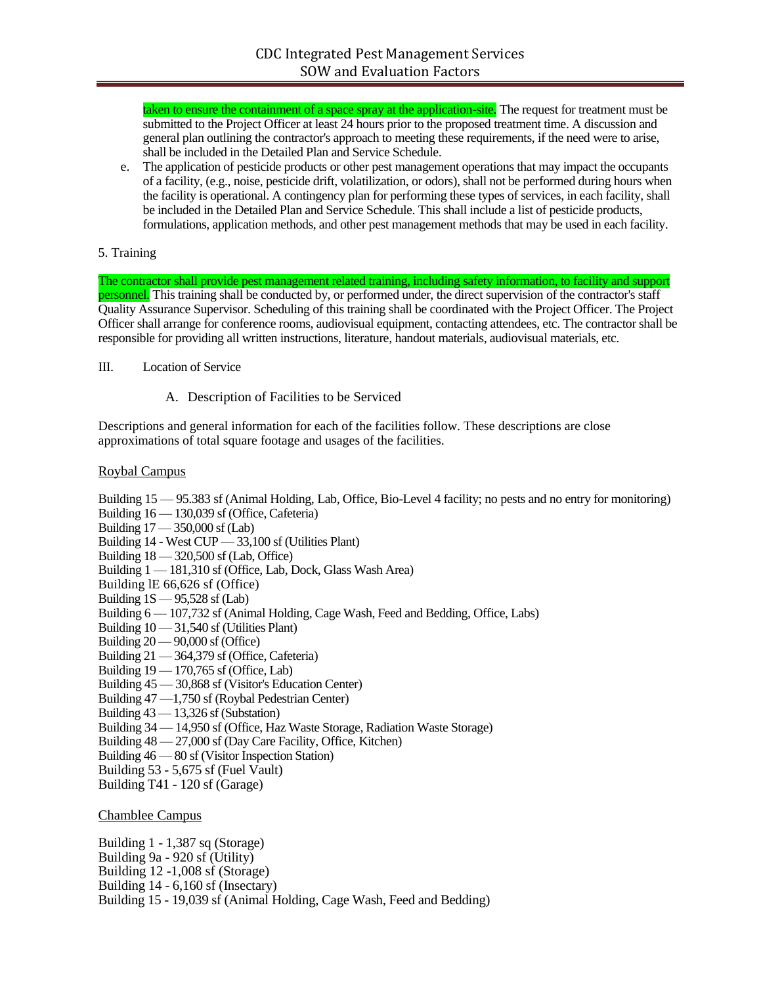taken to ensure the containment of a space spray at the application-site. The request for treatment must be submitted to the Project Officer at least 24 hours prior to the proposed treatment time. A discussion and general plan outlining the contractor's approach to meeting these requirements, if the need were to arise, shall be included in the Detailed Plan and Service Schedule.

e. The application of pesticide products or other pest management operations that may impact the occupants of a facility, (e.g., noise, pesticide drift, volatilization, or odors), shall not be performed during hours when the facility is operational. A contingency plan for performing these types of services, in each facility, shall be included in the Detailed Plan and Service Schedule. This shall include a list of pesticide products, formulations, application methods, and other pest management methods that may be used in each facility.

### 5. Training

The contractor shall provide pest management related training, including safety information, to facility and support personnel. This training shall be conducted by, or performed under, the direct supervision of the contractor's staff Quality Assurance Supervisor. Scheduling of this training shall be coordinated with the Project Officer. The Project Officer shall arrange for conference rooms, audiovisual equipment, contacting attendees, etc. The contractor shall be responsible for providing all written instructions, literature, handout materials, audiovisual materials, etc.

- III. Location of Service
	- A. Description of Facilities to be Serviced

Descriptions and general information for each of the facilities follow. These descriptions are close approximations of total square footage and usages of the facilities.

### Roybal Campus

Building 15 — 95.383 sf (Animal Holding, Lab, Office, Bio-Level 4 facility; no pests and no entry for monitoring) Building 16 — 130,039 sf (Office, Cafeteria) Building 17 — 350,000 sf (Lab) Building 14 - West CUP — 33,100 sf (Utilities Plant) Building 18 — 320,500 sf (Lab, Office) Building 1 — 181,310 sf (Office, Lab, Dock, Glass Wash Area) Building lE 66,626 sf (Office) Building  $1S - 95,528$  sf (Lab) Building 6 — 107,732 sf (Animal Holding, Cage Wash, Feed and Bedding, Office, Labs) Building 10 — 31,540 sf (Utilities Plant) Building 20 — 90,000 sf (Office) Building 21 — 364,379 sf (Office, Cafeteria) Building 19 — 170,765 sf (Office, Lab) Building 45 — 30,868 sf (Visitor's Education Center) Building 47 —1,750 sf (Roybal Pedestrian Center) Building 43 — 13,326 sf (Substation) Building 34 — 14,950 sf (Office, Haz Waste Storage, Radiation Waste Storage) Building 48 — 27,000 sf (Day Care Facility, Office, Kitchen) Building 46 — 80 sf (Visitor Inspection Station) Building 53 - 5,675 sf (Fuel Vault) Building T41 - 120 sf (Garage)

Chamblee Campus

Building 1 - 1,387 sq (Storage) Building 9a - 920 sf (Utility) Building 12 -1,008 sf (Storage)

Building 14 - 6,160 sf (Insectary)

Building 15 - 19,039 sf (Animal Holding, Cage Wash, Feed and Bedding)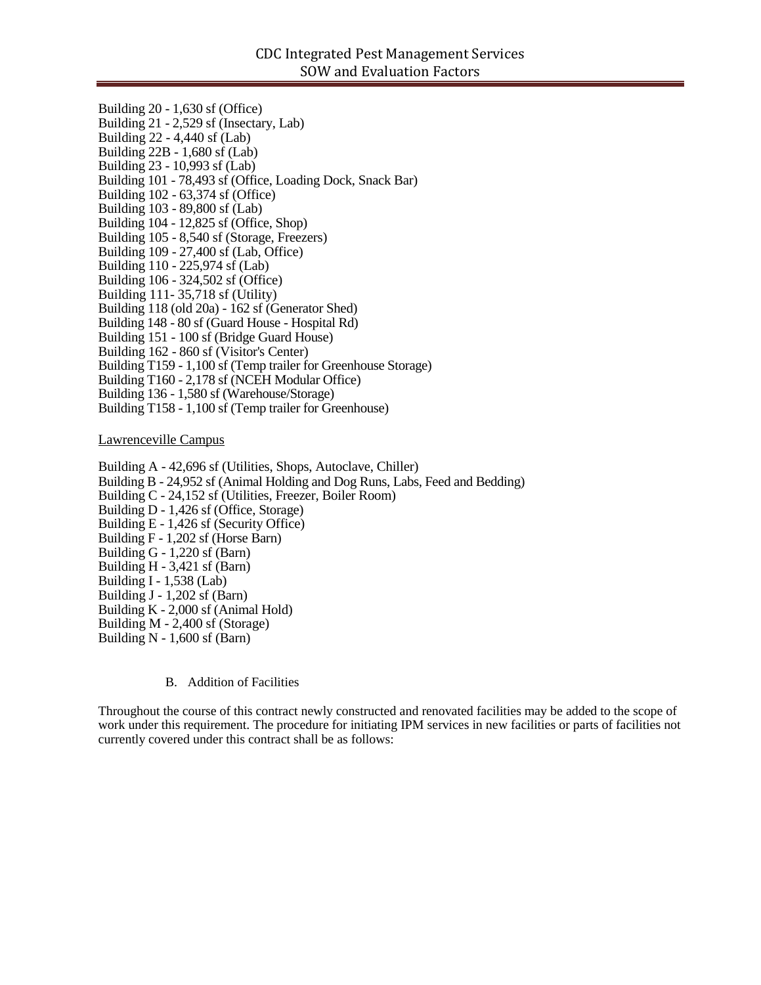Building 20 - 1,630 sf (Office) Building 21 - 2,529 sf (Insectary, Lab) Building 22 - 4,440 sf (Lab) Building 22B - 1,680 sf (Lab) Building 23 - 10,993 sf (Lab) Building 101 - 78,493 sf (Office, Loading Dock, Snack Bar) Building 102 - 63,374 sf (Office) Building 103 - 89,800 sf (Lab) Building 104 - 12,825 sf (Office, Shop) Building 105 - 8,540 sf (Storage, Freezers) Building  $109 - 27.400$  sf (Lab, Office) Building 110 - 225,974 sf (Lab) Building 106 - 324,502 sf (Office) Building 111- 35,718 sf (Utility) Building 118 (old 20a) - 162 sf (Generator Shed) Building 148 - 80 sf (Guard House - Hospital Rd) Building 151 - 100 sf (Bridge Guard House) Building 162 - 860 sf (Visitor's Center) Building T159 - 1,100 sf (Temp trailer for Greenhouse Storage) Building T160 - 2,178 sf (NCEH Modular Office) Building 136 - 1,580 sf (Warehouse/Storage) Building T158 - 1,100 sf (Temp trailer for Greenhouse) Lawrenceville Campus

Building A - 42,696 sf (Utilities, Shops, Autoclave, Chiller) Building B - 24,952 sf (Animal Holding and Dog Runs, Labs, Feed and Bedding) Building C - 24,152 sf (Utilities, Freezer, Boiler Room) Building D - 1,426 sf (Office, Storage) Building E - 1,426 sf (Security Office) Building F - 1,202 sf (Horse Barn) Building G - 1,220 sf (Barn) Building H - 3,421 sf (Barn) Building I - 1,538 (Lab) Building J - 1,202 sf (Barn) Building K - 2,000 sf (Animal Hold) Building M - 2,400 sf (Storage) Building N - 1,600 sf (Barn)

B. Addition of Facilities

Throughout the course of this contract newly constructed and renovated facilities may be added to the scope of work under this requirement. The procedure for initiating IPM services in new facilities or parts of facilities not currently covered under this contract shall be as follows: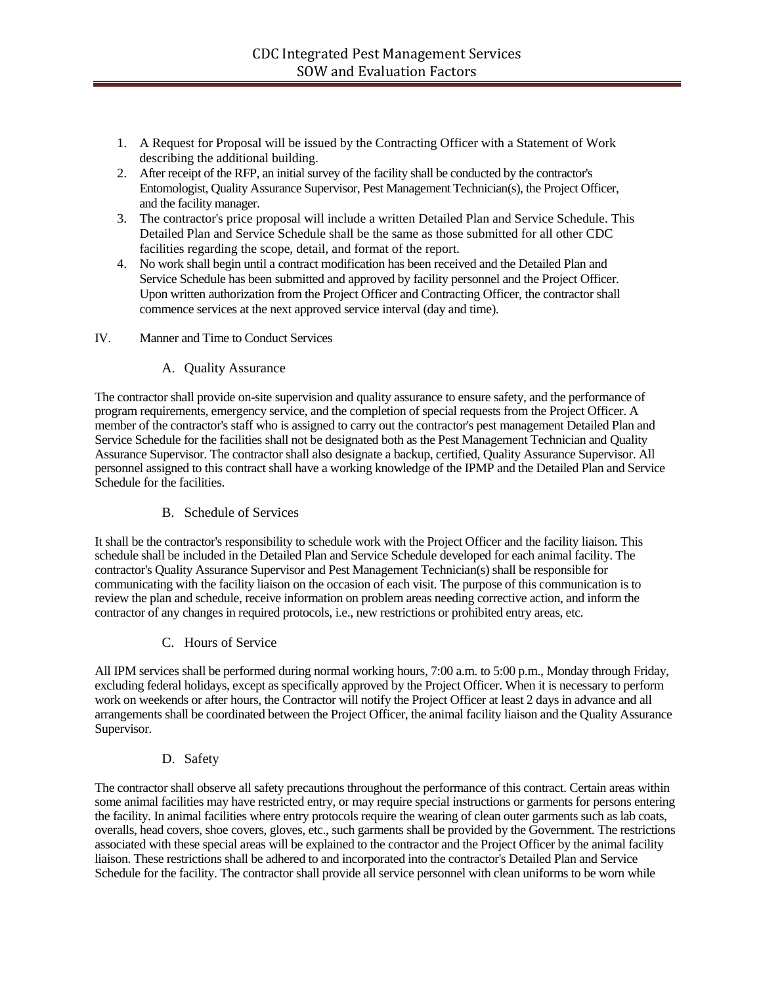- 1. A Request for Proposal will be issued by the Contracting Officer with a Statement of Work describing the additional building.
- 2. After receipt of the RFP, an initial survey of the facility shall be conducted by the contractor's Entomologist, Quality Assurance Supervisor, Pest Management Technician(s), the Project Officer, and the facility manager.
- 3. The contractor's price proposal will include a written Detailed Plan and Service Schedule. This Detailed Plan and Service Schedule shall be the same as those submitted for all other CDC facilities regarding the scope, detail, and format of the report.
- 4. No work shall begin until a contract modification has been received and the Detailed Plan and Service Schedule has been submitted and approved by facility personnel and the Project Officer. Upon written authorization from the Project Officer and Contracting Officer, the contractor shall commence services at the next approved service interval (day and time).

### IV. Manner and Time to Conduct Services

# A. Quality Assurance

The contractor shall provide on-site supervision and quality assurance to ensure safety, and the performance of program requirements, emergency service, and the completion of special requests from the Project Officer. A member of the contractor's staff who is assigned to carry out the contractor's pest management Detailed Plan and Service Schedule for the facilities shall not be designated both as the Pest Management Technician and Quality Assurance Supervisor. The contractor shall also designate a backup, certified, Quality Assurance Supervisor. All personnel assigned to this contract shall have a working knowledge of the IPMP and the Detailed Plan and Service Schedule for the facilities.

# B. Schedule of Services

It shall be the contractor's responsibility to schedule work with the Project Officer and the facility liaison. This schedule shall be included in the Detailed Plan and Service Schedule developed for each animal facility. The contractor's Quality Assurance Supervisor and Pest Management Technician(s) shall be responsible for communicating with the facility liaison on the occasion of each visit. The purpose of this communication is to review the plan and schedule, receive information on problem areas needing corrective action, and inform the contractor of any changes in required protocols, i.e., new restrictions or prohibited entry areas, etc.

# C. Hours of Service

All IPM services shall be performed during normal working hours, 7:00 a.m. to 5:00 p.m., Monday through Friday, excluding federal holidays, except as specifically approved by the Project Officer. When it is necessary to perform work on weekends or after hours, the Contractor will notify the Project Officer at least 2 days in advance and all arrangements shall be coordinated between the Project Officer, the animal facility liaison and the Quality Assurance Supervisor.

# D. Safety

The contractor shall observe all safety precautions throughout the performance of this contract. Certain areas within some animal facilities may have restricted entry, or may require special instructions or garments for persons entering the facility. In animal facilities where entry protocols require the wearing of clean outer garments such as lab coats, overalls, head covers, shoe covers, gloves, etc., such garments shall be provided by the Government. The restrictions associated with these special areas will be explained to the contractor and the Project Officer by the animal facility liaison. These restrictions shall be adhered to and incorporated into the contractor's Detailed Plan and Service Schedule for the facility. The contractor shall provide all service personnel with clean uniforms to be worn while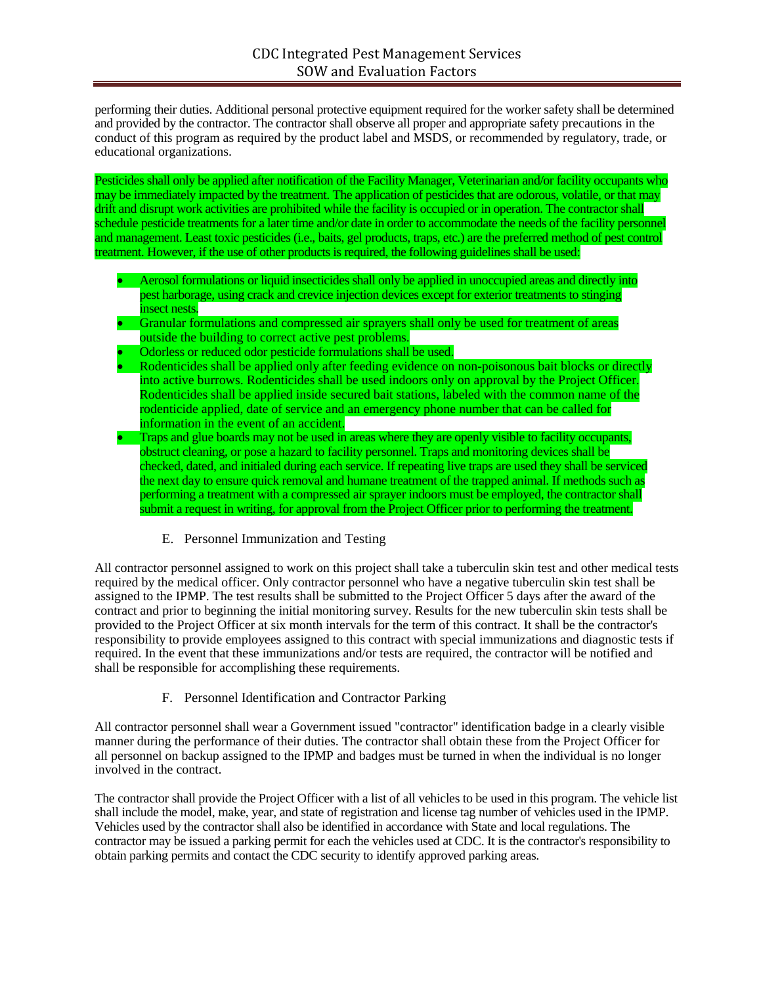performing their duties. Additional personal protective equipment required for the worker safety shall be determined and provided by the contractor. The contractor shall observe all proper and appropriate safety precautions in the conduct of this program as required by the product label and MSDS, or recommended by regulatory, trade, or educational organizations.

Pesticides shall only be applied after notification of the Facility Manager, Veterinarian and/or facility occupants who may be immediately impacted by the treatment. The application of pesticides that are odorous, volatile, or that may drift and disrupt work activities are prohibited while the facility is occupied or in operation. The contractor shall schedule pesticide treatments for a later time and/or date in order to accommodate the needs of the facility personnel and management. Least toxic pesticides (i.e., baits, gel products, traps, etc.) are the preferred method of pest control treatment. However, if the use of other products is required, the following guidelines shall be used:

- Aerosol formulations or liquid insecticides shall only be applied in unoccupied areas and directly into pest harborage, using crack and crevice injection devices except for exterior treatments to stinging insect nests.
- Granular formulations and compressed air sprayers shall only be used for treatment of areas outside the building to correct active pest problems.
- Odorless or reduced odor pesticide formulations shall be used.
- Rodenticides shall be applied only after feeding evidence on non-poisonous bait blocks or directly into active burrows. Rodenticides shall be used indoors only on approval by the Project Officer. Rodenticides shall be applied inside secured bait stations, labeled with the common name of the rodenticide applied, date of service and an emergency phone number that can be called for information in the event of an accident.
- Traps and glue boards may not be used in areas where they are openly visible to facility occupants, obstruct cleaning, or pose a hazard to facility personnel. Traps and monitoring devices shall be checked, dated, and initialed during each service. If repeating live traps are used they shall be serviced the next day to ensure quick removal and humane treatment of the trapped animal. If methods such as performing a treatment with a compressed air sprayer indoors must be employed, the contractor shall submit a request in writing, for approval from the Project Officer prior to performing the treatment.

# E. Personnel Immunization and Testing

All contractor personnel assigned to work on this project shall take a tuberculin skin test and other medical tests required by the medical officer. Only contractor personnel who have a negative tuberculin skin test shall be assigned to the IPMP. The test results shall be submitted to the Project Officer 5 days after the award of the contract and prior to beginning the initial monitoring survey. Results for the new tuberculin skin tests shall be provided to the Project Officer at six month intervals for the term of this contract. It shall be the contractor's responsibility to provide employees assigned to this contract with special immunizations and diagnostic tests if required. In the event that these immunizations and/or tests are required, the contractor will be notified and shall be responsible for accomplishing these requirements.

# F. Personnel Identification and Contractor Parking

All contractor personnel shall wear a Government issued "contractor" identification badge in a clearly visible manner during the performance of their duties. The contractor shall obtain these from the Project Officer for all personnel on backup assigned to the IPMP and badges must be turned in when the individual is no longer involved in the contract.

The contractor shall provide the Project Officer with a list of all vehicles to be used in this program. The vehicle list shall include the model, make, year, and state of registration and license tag number of vehicles used in the IPMP. Vehicles used by the contractor shall also be identified in accordance with State and local regulations. The contractor may be issued a parking permit for each the vehicles used at CDC. It is the contractor's responsibility to obtain parking permits and contact the CDC security to identify approved parking areas.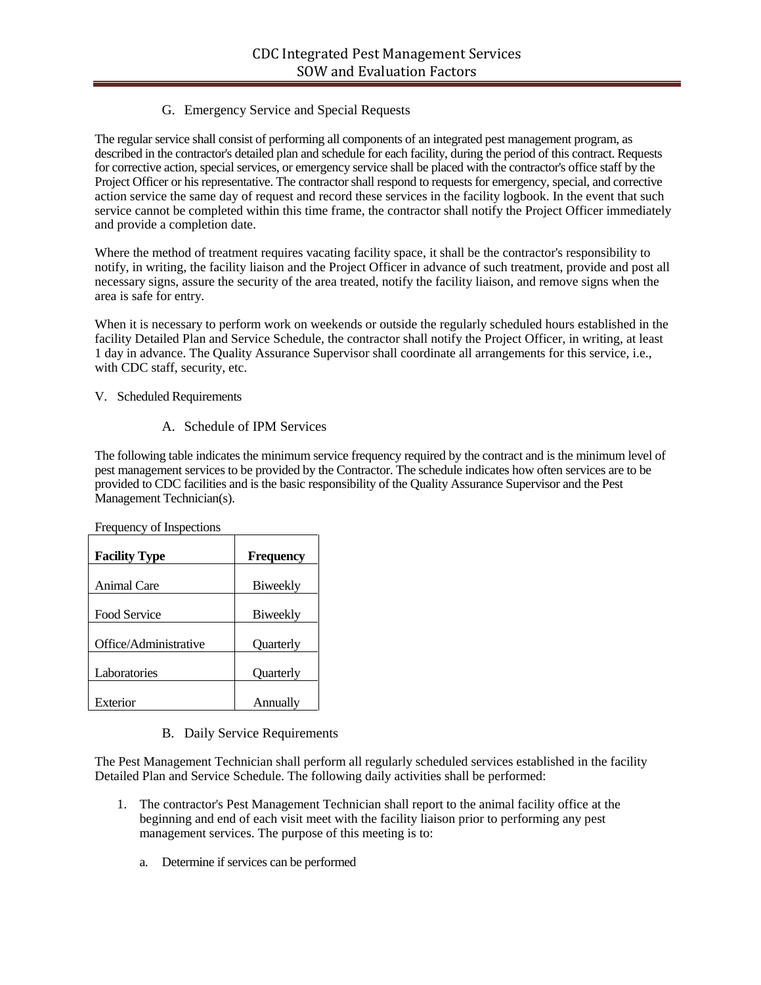# G. Emergency Service and Special Requests

The regular service shall consist of performing all components of an integrated pest management program, as described in the contractor's detailed plan and schedule for each facility, during the period of this contract. Requests for corrective action, special services, or emergency service shall be placed with the contractor's office staff by the Project Officer or his representative. The contractor shall respond to requests for emergency, special, and corrective action service the same day of request and record these services in the facility logbook. In the event that such service cannot be completed within this time frame, the contractor shall notify the Project Officer immediately and provide a completion date.

Where the method of treatment requires vacating facility space, it shall be the contractor's responsibility to notify, in writing, the facility liaison and the Project Officer in advance of such treatment, provide and post all necessary signs, assure the security of the area treated, notify the facility liaison, and remove signs when the area is safe for entry.

When it is necessary to perform work on weekends or outside the regularly scheduled hours established in the facility Detailed Plan and Service Schedule, the contractor shall notify the Project Officer, in writing, at least 1 day in advance. The Quality Assurance Supervisor shall coordinate all arrangements for this service, i.e., with CDC staff, security, etc.

# V. Scheduled Requirements

# A. Schedule of IPM Services

The following table indicates the minimum service frequency required by the contract and is the minimum level of pest management services to be provided by the Contractor. The schedule indicates how often services are to be provided to CDC facilities and is the basic responsibility of the Quality Assurance Supervisor and the Pest Management Technician(s).

| <b>Facility Type</b>  | <b>Frequency</b> |
|-----------------------|------------------|
| Animal Care           | Biweekly         |
| <b>Food Service</b>   | Biweekly         |
| Office/Administrative | <b>Ouarterly</b> |
| Laboratories          | <b>Ouarterly</b> |
| Exterior              | Annually         |

Frequency of Inspections

B. Daily Service Requirements

The Pest Management Technician shall perform all regularly scheduled services established in the facility Detailed Plan and Service Schedule. The following daily activities shall be performed:

- 1. The contractor's Pest Management Technician shall report to the animal facility office at the beginning and end of each visit meet with the facility liaison prior to performing any pest management services. The purpose of this meeting is to:
	- a. Determine if services can be performed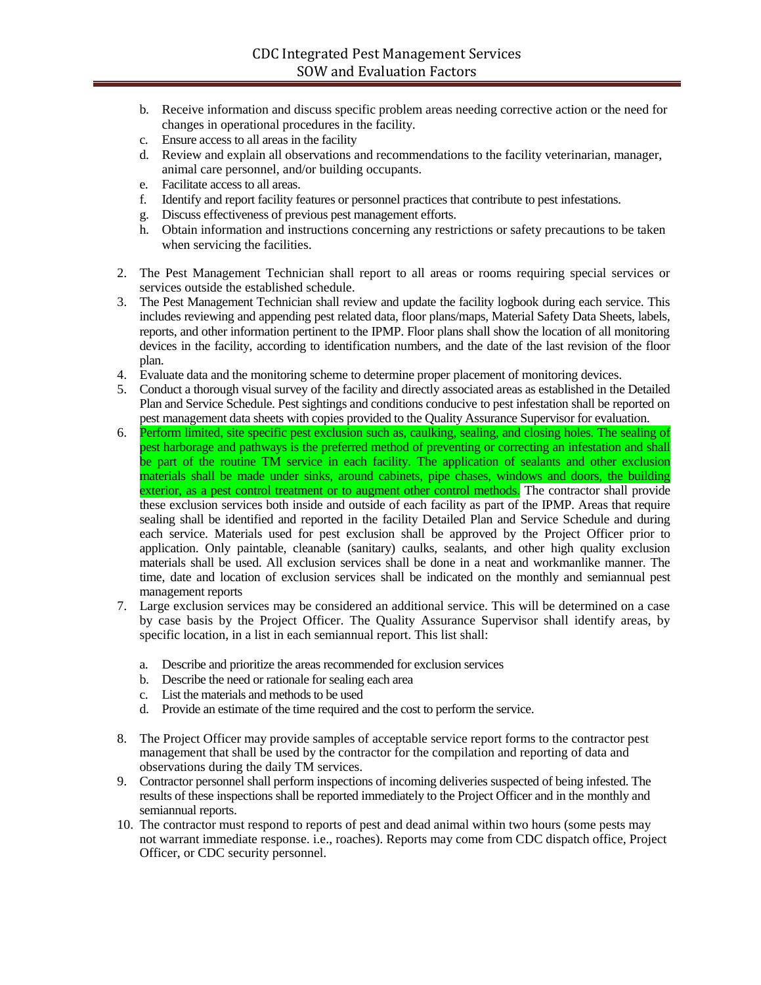- b. Receive information and discuss specific problem areas needing corrective action or the need for changes in operational procedures in the facility.
- c. Ensure access to all areas in the facility
- d. Review and explain all observations and recommendations to the facility veterinarian, manager, animal care personnel, and/or building occupants.
- e. Facilitate access to all areas.
- f. Identify and report facility features or personnel practices that contribute to pest infestations.
- g. Discuss effectiveness of previous pest management efforts.
- h. Obtain information and instructions concerning any restrictions or safety precautions to be taken when servicing the facilities.
- 2. The Pest Management Technician shall report to all areas or rooms requiring special services or services outside the established schedule.
- 3. The Pest Management Technician shall review and update the facility logbook during each service. This includes reviewing and appending pest related data, floor plans/maps, Material Safety Data Sheets, labels, reports, and other information pertinent to the IPMP. Floor plans shall show the location of all monitoring devices in the facility, according to identification numbers, and the date of the last revision of the floor plan.
- 4. Evaluate data and the monitoring scheme to determine proper placement of monitoring devices.
- 5. Conduct a thorough visual survey of the facility and directly associated areas as established in the Detailed Plan and Service Schedule. Pest sightings and conditions conducive to pest infestation shall be reported on pest management data sheets with copies provided to the Quality Assurance Supervisor for evaluation.
- 6. Perform limited, site specific pest exclusion such as, caulking, sealing, and closing holes. The sealing of pest harborage and pathways is the preferred method of preventing or correcting an infestation and shall be part of the routine TM service in each facility. The application of sealants and other exclusion materials shall be made under sinks, around cabinets, pipe chases, windows and doors, the building exterior, as a pest control treatment or to augment other control methods. The contractor shall provide these exclusion services both inside and outside of each facility as part of the IPMP. Areas that require sealing shall be identified and reported in the facility Detailed Plan and Service Schedule and during each service. Materials used for pest exclusion shall be approved by the Project Officer prior to application. Only paintable, cleanable (sanitary) caulks, sealants, and other high quality exclusion materials shall be used. All exclusion services shall be done in a neat and workmanlike manner. The time, date and location of exclusion services shall be indicated on the monthly and semiannual pest management reports
- 7. Large exclusion services may be considered an additional service. This will be determined on a case by case basis by the Project Officer. The Quality Assurance Supervisor shall identify areas, by specific location, in a list in each semiannual report. This list shall:
	- a. Describe and prioritize the areas recommended for exclusion services
	- b. Describe the need or rationale for sealing each area
	- c. List the materials and methods to be used
	- d. Provide an estimate of the time required and the cost to perform the service.
- 8. The Project Officer may provide samples of acceptable service report forms to the contractor pest management that shall be used by the contractor for the compilation and reporting of data and observations during the daily TM services.
- 9. Contractor personnel shall perform inspections of incoming deliveries suspected of being infested. The results of these inspections shall be reported immediately to the Project Officer and in the monthly and semiannual reports.
- 10. The contractor must respond to reports of pest and dead animal within two hours (some pests may not warrant immediate response. i.e., roaches). Reports may come from CDC dispatch office, Project Officer, or CDC security personnel.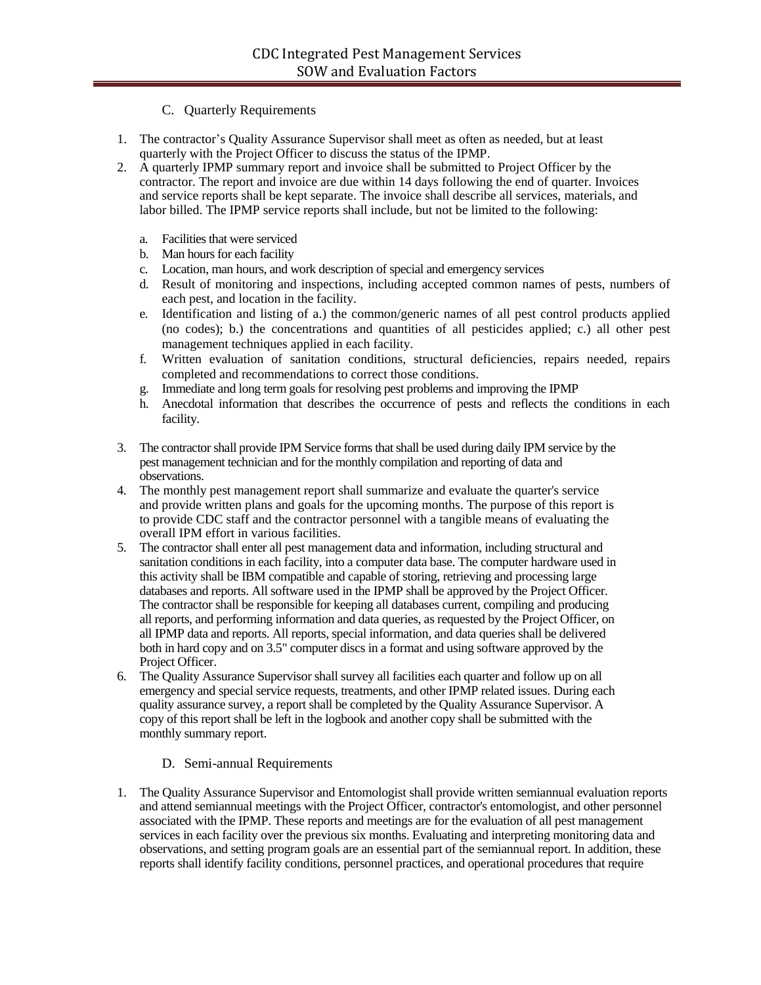# C. Quarterly Requirements

- 1. The contractor's Quality Assurance Supervisor shall meet as often as needed, but at least quarterly with the Project Officer to discuss the status of the IPMP.
- 2. A quarterly IPMP summary report and invoice shall be submitted to Project Officer by the contractor. The report and invoice are due within 14 days following the end of quarter. Invoices and service reports shall be kept separate. The invoice shall describe all services, materials, and labor billed. The IPMP service reports shall include, but not be limited to the following:
	- a. Facilities that were serviced
	- b. Man hours for each facility
	- c. Location, man hours, and work description of special and emergency services
	- d. Result of monitoring and inspections, including accepted common names of pests, numbers of each pest, and location in the facility.
	- e. Identification and listing of a.) the common/generic names of all pest control products applied (no codes); b.) the concentrations and quantities of all pesticides applied; c.) all other pest management techniques applied in each facility.
	- f. Written evaluation of sanitation conditions, structural deficiencies, repairs needed, repairs completed and recommendations to correct those conditions.
	- g. Immediate and long term goals for resolving pest problems and improving the IPMP
	- h. Anecdotal information that describes the occurrence of pests and reflects the conditions in each facility.
- 3. The contractor shall provide IPM Service forms that shall be used during daily IPM service by the pest management technician and for the monthly compilation and reporting of data and observations.
- 4. The monthly pest management report shall summarize and evaluate the quarter's service and provide written plans and goals for the upcoming months. The purpose of this report is to provide CDC staff and the contractor personnel with a tangible means of evaluating the overall IPM effort in various facilities.
- 5. The contractor shall enter all pest management data and information, including structural and sanitation conditions in each facility, into a computer data base. The computer hardware used in this activity shall be IBM compatible and capable of storing, retrieving and processing large databases and reports. All software used in the IPMP shall be approved by the Project Officer. The contractor shall be responsible for keeping all databases current, compiling and producing all reports, and performing information and data queries, as requested by the Project Officer, on all IPMP data and reports. All reports, special information, and data queries shall be delivered both in hard copy and on 3.5" computer discs in a format and using software approved by the Project Officer.
- 6. The Quality Assurance Supervisor shall survey all facilities each quarter and follow up on all emergency and special service requests, treatments, and other IPMP related issues. During each quality assurance survey, a report shall be completed by the Quality Assurance Supervisor. A copy of this report shall be left in the logbook and another copy shall be submitted with the monthly summary report.

# D. Semi-annual Requirements

1. The Quality Assurance Supervisor and Entomologist shall provide written semiannual evaluation reports and attend semiannual meetings with the Project Officer, contractor's entomologist, and other personnel associated with the IPMP. These reports and meetings are for the evaluation of all pest management services in each facility over the previous six months. Evaluating and interpreting monitoring data and observations, and setting program goals are an essential part of the semiannual report. In addition, these reports shall identify facility conditions, personnel practices, and operational procedures that require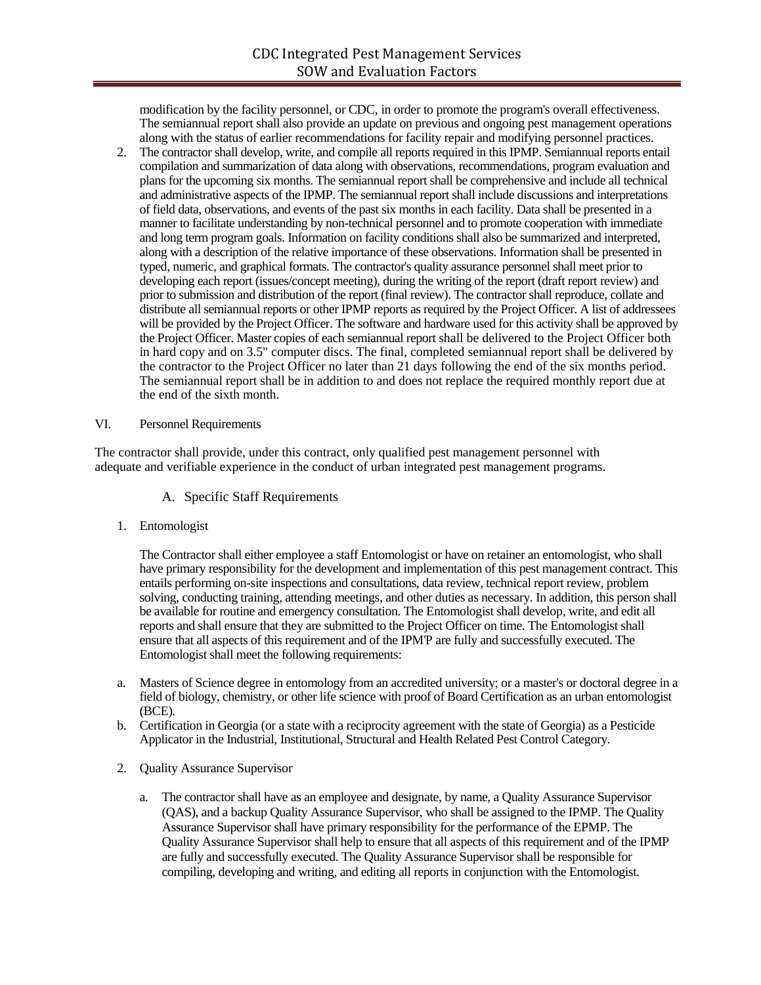modification by the facility personnel, or CDC, in order to promote the program's overall effectiveness. The semiannual report shall also provide an update on previous and ongoing pest management operations along with the status of earlier recommendations for facility repair and modifying personnel practices.

2. The contractor shall develop, write, and compile all reports required in this IPMP. Semiannual reports entail compilation and summarization of data along with observations, recommendations, program evaluation and plans for the upcoming six months. The semiannual report shall be comprehensive and include all technical and administrative aspects of the IPMP. The semiannual report shall include discussions and interpretations of field data, observations, and events of the past six months in each facility. Data shall be presented in a manner to facilitate understanding by non-technical personnel and to promote cooperation with immediate and long term program goals. Information on facility conditions shall also be summarized and interpreted, along with a description of the relative importance of these observations. Information shall be presented in typed, numeric, and graphical formats. The contractor's quality assurance personnel shall meet prior to developing each report (issues/concept meeting), during the writing of the report (draft report review) and prior to submission and distribution of the report (final review). The contractor shall reproduce, collate and distribute all semiannual reports or other IPMP reports as required by the Project Officer. A list of addressees will be provided by the Project Officer. The software and hardware used for this activity shall be approved by the Project Officer. Master copies of each semiannual report shall be delivered to the Project Officer both in hard copy and on 3.5" computer discs. The final, completed semiannual report shall be delivered by the contractor to the Project Officer no later than 21 days following the end of the six months period. The semiannual report shall be in addition to and does not replace the required monthly report due at the end of the sixth month.

### VI. Personnel Requirements

The contractor shall provide, under this contract, only qualified pest management personnel with adequate and verifiable experience in the conduct of urban integrated pest management programs.

### A. Specific Staff Requirements

1. Entomologist

The Contractor shall either employee a staff Entomologist or have on retainer an entomologist, who shall have primary responsibility for the development and implementation of this pest management contract. This entails performing on-site inspections and consultations, data review, technical report review, problem solving, conducting training, attending meetings, and other duties as necessary. In addition, this person shall be available for routine and emergency consultation. The Entomologist shall develop, write, and edit all reports and shall ensure that they are submitted to the Project Officer on time. The Entomologist shall ensure that all aspects of this requirement and of the IPM'P are fully and successfully executed. The Entomologist shall meet the following requirements:

- a. Masters of Science degree in entomology from an accredited university; or a master's or doctoral degree in a field of biology, chemistry, or other life science with proof of Board Certification as an urban entomologist (BCE).
- b. Certification in Georgia (or a state with a reciprocity agreement with the state of Georgia) as a Pesticide Applicator in the Industrial, Institutional, Structural and Health Related Pest Control Category.
- 2. Quality Assurance Supervisor
	- a. The contractor shall have as an employee and designate, by name, a Quality Assurance Supervisor (QAS), and a backup Quality Assurance Supervisor, who shall be assigned to the IPMP. The Quality Assurance Supervisor shall have primary responsibility for the performance of the EPMP. The Quality Assurance Supervisor shall help to ensure that all aspects of this requirement and of the IPMP are fully and successfully executed. The Quality Assurance Supervisor shall be responsible for compiling, developing and writing, and editing all reports in conjunction with the Entomologist.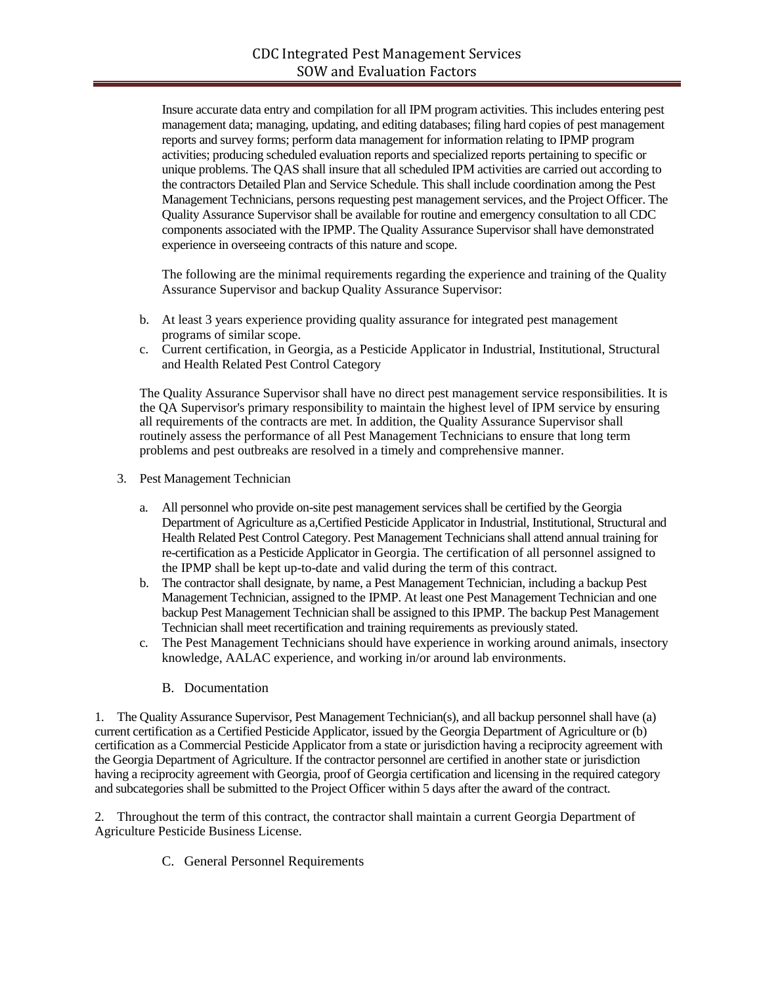Insure accurate data entry and compilation for all IPM program activities. This includes entering pest management data; managing, updating, and editing databases; filing hard copies of pest management reports and survey forms; perform data management for information relating to IPMP program activities; producing scheduled evaluation reports and specialized reports pertaining to specific or unique problems. The QAS shall insure that all scheduled IPM activities are carried out according to the contractors Detailed Plan and Service Schedule. This shall include coordination among the Pest Management Technicians, persons requesting pest management services, and the Project Officer. The Quality Assurance Supervisor shall be available for routine and emergency consultation to all CDC components associated with the IPMP. The Quality Assurance Supervisor shall have demonstrated experience in overseeing contracts of this nature and scope.

The following are the minimal requirements regarding the experience and training of the Quality Assurance Supervisor and backup Quality Assurance Supervisor:

- b. At least 3 years experience providing quality assurance for integrated pest management programs of similar scope.
- c. Current certification, in Georgia, as a Pesticide Applicator in Industrial, Institutional, Structural and Health Related Pest Control Category

The Quality Assurance Supervisor shall have no direct pest management service responsibilities. It is the QA Supervisor's primary responsibility to maintain the highest level of IPM service by ensuring all requirements of the contracts are met. In addition, the Quality Assurance Supervisor shall routinely assess the performance of all Pest Management Technicians to ensure that long term problems and pest outbreaks are resolved in a timely and comprehensive manner.

- 3. Pest Management Technician
	- a. All personnel who provide on-site pest management services shall be certified by the Georgia Department of Agriculture as a,Certified Pesticide Applicator in Industrial, Institutional, Structural and Health Related Pest Control Category. Pest Management Technicians shall attend annual training for re-certification as a Pesticide Applicator in Georgia. The certification of all personnel assigned to the IPMP shall be kept up-to-date and valid during the term of this contract.
	- b. The contractor shall designate, by name, a Pest Management Technician, including a backup Pest Management Technician, assigned to the IPMP. At least one Pest Management Technician and one backup Pest Management Technician shall be assigned to this IPMP. The backup Pest Management Technician shall meet recertification and training requirements as previously stated.
	- c. The Pest Management Technicians should have experience in working around animals, insectory knowledge, AALAC experience, and working in/or around lab environments.
		- B. Documentation

1. The Quality Assurance Supervisor, Pest Management Technician(s), and all backup personnel shall have (a) current certification as a Certified Pesticide Applicator, issued by the Georgia Department of Agriculture or (b) certification as a Commercial Pesticide Applicator from a state or jurisdiction having a reciprocity agreement with the Georgia Department of Agriculture. If the contractor personnel are certified in another state or jurisdiction having a reciprocity agreement with Georgia, proof of Georgia certification and licensing in the required category and subcategories shall be submitted to the Project Officer within 5 days after the award of the contract.

2. Throughout the term of this contract, the contractor shall maintain a current Georgia Department of Agriculture Pesticide Business License.

C. General Personnel Requirements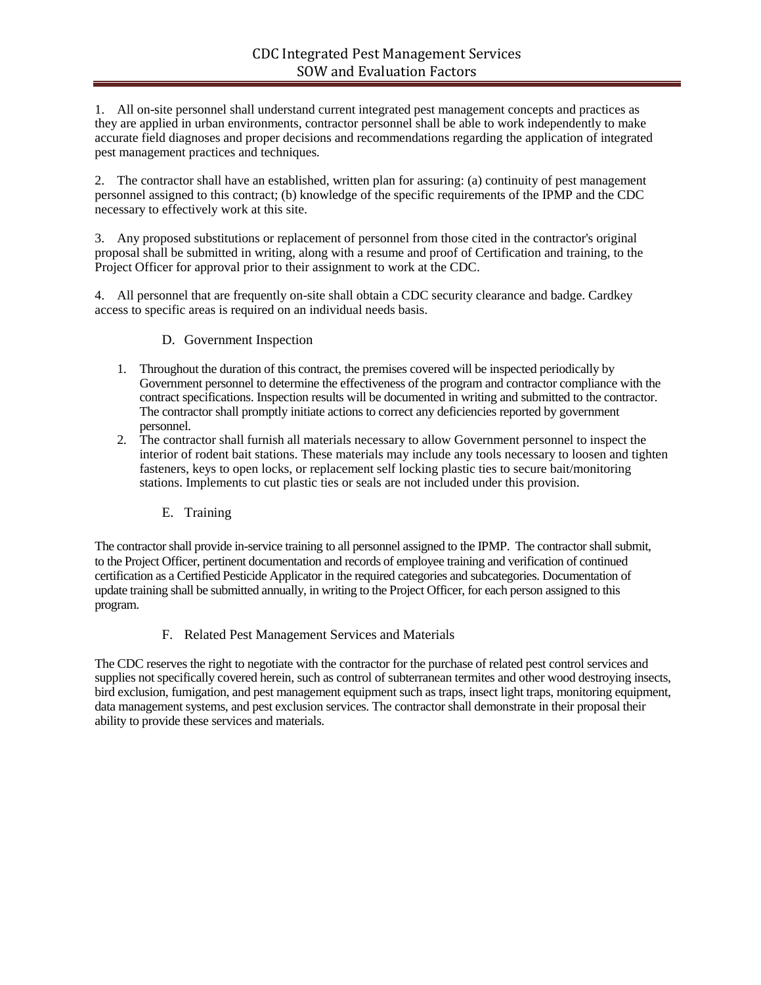1. All on-site personnel shall understand current integrated pest management concepts and practices as they are applied in urban environments, contractor personnel shall be able to work independently to make accurate field diagnoses and proper decisions and recommendations regarding the application of integrated pest management practices and techniques.

2. The contractor shall have an established, written plan for assuring: (a) continuity of pest management personnel assigned to this contract; (b) knowledge of the specific requirements of the IPMP and the CDC necessary to effectively work at this site.

3. Any proposed substitutions or replacement of personnel from those cited in the contractor's original proposal shall be submitted in writing, along with a resume and proof of Certification and training, to the Project Officer for approval prior to their assignment to work at the CDC.

4. All personnel that are frequently on-site shall obtain a CDC security clearance and badge. Cardkey access to specific areas is required on an individual needs basis.

- D. Government Inspection
- 1. Throughout the duration of this contract, the premises covered will be inspected periodically by Government personnel to determine the effectiveness of the program and contractor compliance with the contract specifications. Inspection results will be documented in writing and submitted to the contractor. The contractor shall promptly initiate actions to correct any deficiencies reported by government personnel.
- 2. The contractor shall furnish all materials necessary to allow Government personnel to inspect the interior of rodent bait stations. These materials may include any tools necessary to loosen and tighten fasteners, keys to open locks, or replacement self locking plastic ties to secure bait/monitoring stations. Implements to cut plastic ties or seals are not included under this provision.
	- E. Training

The contractor shall provide in-service training to all personnel assigned to the IPMP. The contractor shall submit, to the Project Officer, pertinent documentation and records of employee training and verification of continued certification as a Certified Pesticide Applicator in the required categories and subcategories. Documentation of update training shall be submitted annually, in writing to the Project Officer, for each person assigned to this program.

### F. Related Pest Management Services and Materials

The CDC reserves the right to negotiate with the contractor for the purchase of related pest control services and supplies not specifically covered herein, such as control of subterranean termites and other wood destroying insects, bird exclusion, fumigation, and pest management equipment such as traps, insect light traps, monitoring equipment, data management systems, and pest exclusion services. The contractor shall demonstrate in their proposal their ability to provide these services and materials.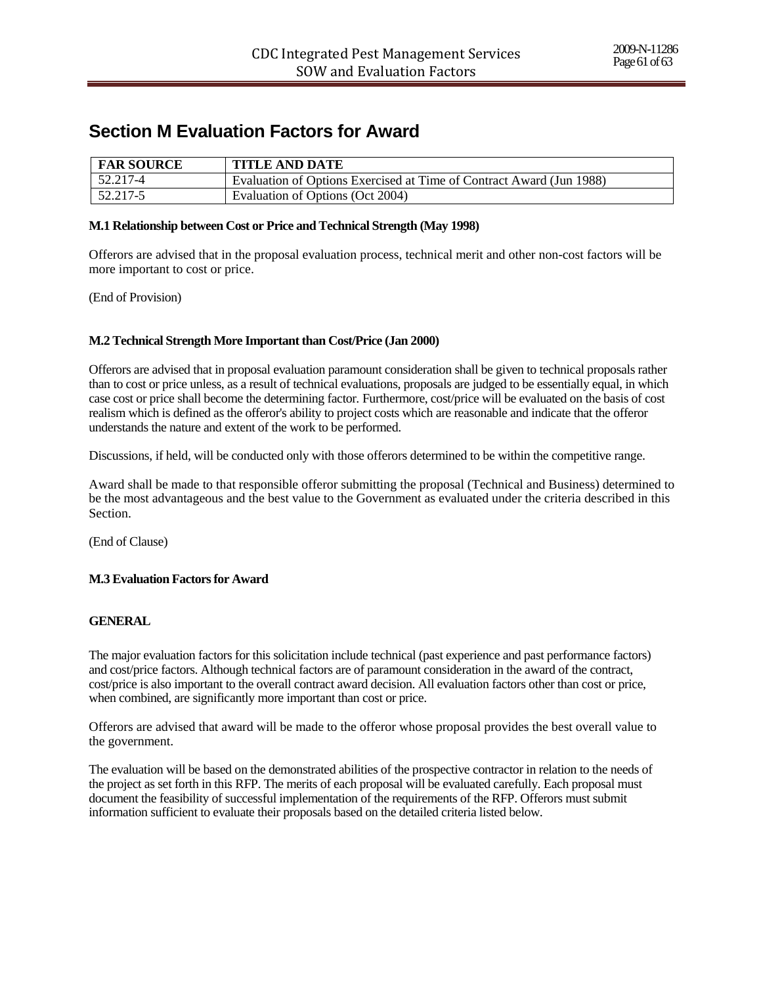# **Section M Evaluation Factors for Award**

| <b>FAR SOURCE</b> | <b>TITLE AND DATE</b>                                                |
|-------------------|----------------------------------------------------------------------|
| $52.217 - 4$      | Evaluation of Options Exercised at Time of Contract Award (Jun 1988) |
| 52.217-5          | Evaluation of Options (Oct 2004)                                     |

### **M.1 Relationship between Cost or Price and Technical Strength (May 1998)**

Offerors are advised that in the proposal evaluation process, technical merit and other non-cost factors will be more important to cost or price.

(End of Provision)

### **M.2 Technical Strength More Important than Cost/Price (Jan 2000)**

Offerors are advised that in proposal evaluation paramount consideration shall be given to technical proposals rather than to cost or price unless, as a result of technical evaluations, proposals are judged to be essentially equal, in which case cost or price shall become the determining factor. Furthermore, cost/price will be evaluated on the basis of cost realism which is defined as the offeror's ability to project costs which are reasonable and indicate that the offeror understands the nature and extent of the work to be performed.

Discussions, if held, will be conducted only with those offerors determined to be within the competitive range.

Award shall be made to that responsible offeror submitting the proposal (Technical and Business) determined to be the most advantageous and the best value to the Government as evaluated under the criteria described in this Section.

(End of Clause)

### **M.3 Evaluation Factors for Award**

### **GENERAL**

The major evaluation factors for this solicitation include technical (past experience and past performance factors) and cost/price factors. Although technical factors are of paramount consideration in the award of the contract, cost/price is also important to the overall contract award decision. All evaluation factors other than cost or price, when combined, are significantly more important than cost or price.

Offerors are advised that award will be made to the offeror whose proposal provides the best overall value to the government.

The evaluation will be based on the demonstrated abilities of the prospective contractor in relation to the needs of the project as set forth in this RFP. The merits of each proposal will be evaluated carefully. Each proposal must document the feasibility of successful implementation of the requirements of the RFP. Offerors must submit information sufficient to evaluate their proposals based on the detailed criteria listed below.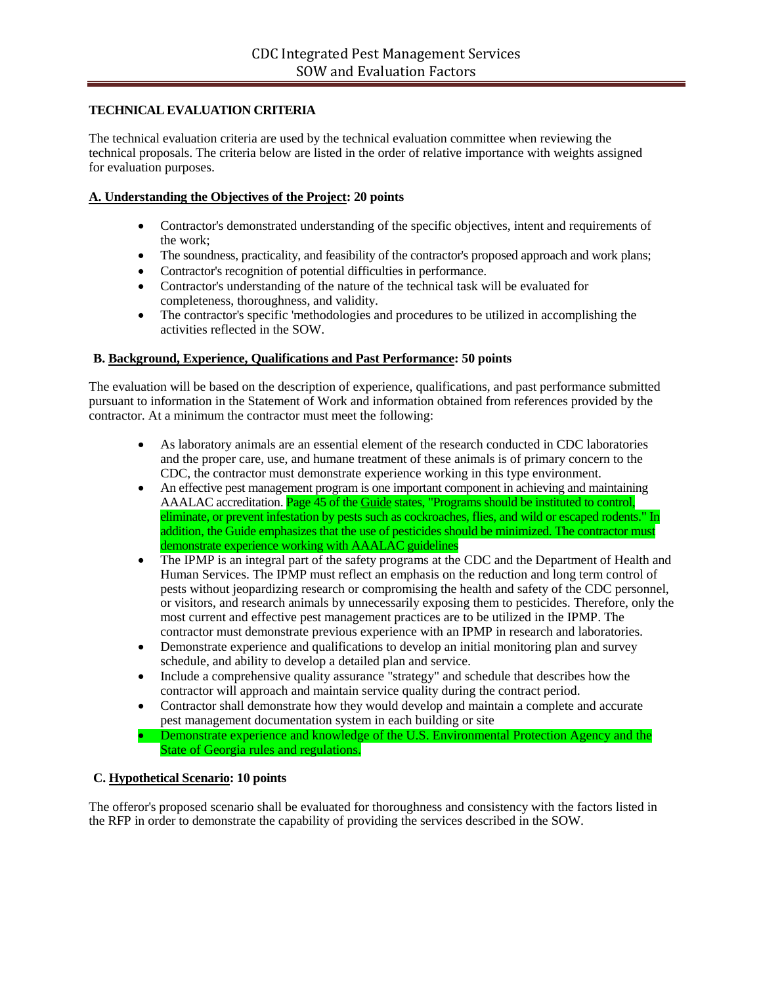# **TECHNICAL EVALUATION CRITERIA**

The technical evaluation criteria are used by the technical evaluation committee when reviewing the technical proposals. The criteria below are listed in the order of relative importance with weights assigned for evaluation purposes.

## **A. Understanding the Objectives of the Project: 20 points**

- Contractor's demonstrated understanding of the specific objectives, intent and requirements of the work;
- The soundness, practicality, and feasibility of the contractor's proposed approach and work plans;
- Contractor's recognition of potential difficulties in performance.
- Contractor's understanding of the nature of the technical task will be evaluated for completeness, thoroughness, and validity.
- The contractor's specific 'methodologies and procedures to be utilized in accomplishing the activities reflected in the SOW.

### **B. Background, Experience, Qualifications and Past Performance: 50 points**

The evaluation will be based on the description of experience, qualifications, and past performance submitted pursuant to information in the Statement of Work and information obtained from references provided by the contractor. At a minimum the contractor must meet the following:

- As laboratory animals are an essential element of the research conducted in CDC laboratories and the proper care, use, and humane treatment of these animals is of primary concern to the CDC, the contractor must demonstrate experience working in this type environment.
- An effective pest management program is one important component in achieving and maintaining AAALAC accreditation. **Page 45 of the Guide states, "Programs should be instituted to control,** eliminate, or prevent infestation by pests such as cockroaches, flies, and wild or escaped rodents." In addition, the Guide emphasizes that the use of pesticides should be minimized. The contractor must demonstrate experience working with AAALAC guidelines
- The IPMP is an integral part of the safety programs at the CDC and the Department of Health and Human Services. The IPMP must reflect an emphasis on the reduction and long term control of pests without jeopardizing research or compromising the health and safety of the CDC personnel, or visitors, and research animals by unnecessarily exposing them to pesticides. Therefore, only the most current and effective pest management practices are to be utilized in the IPMP. The contractor must demonstrate previous experience with an IPMP in research and laboratories.
- Demonstrate experience and qualifications to develop an initial monitoring plan and survey schedule, and ability to develop a detailed plan and service.
- Include a comprehensive quality assurance "strategy" and schedule that describes how the contractor will approach and maintain service quality during the contract period.
- Contractor shall demonstrate how they would develop and maintain a complete and accurate pest management documentation system in each building or site
- Demonstrate experience and knowledge of the U.S. Environmental Protection Agency and the State of Georgia rules and regulations.

### **C. Hypothetical Scenario: 10 points**

The offeror's proposed scenario shall be evaluated for thoroughness and consistency with the factors listed in the RFP in order to demonstrate the capability of providing the services described in the SOW.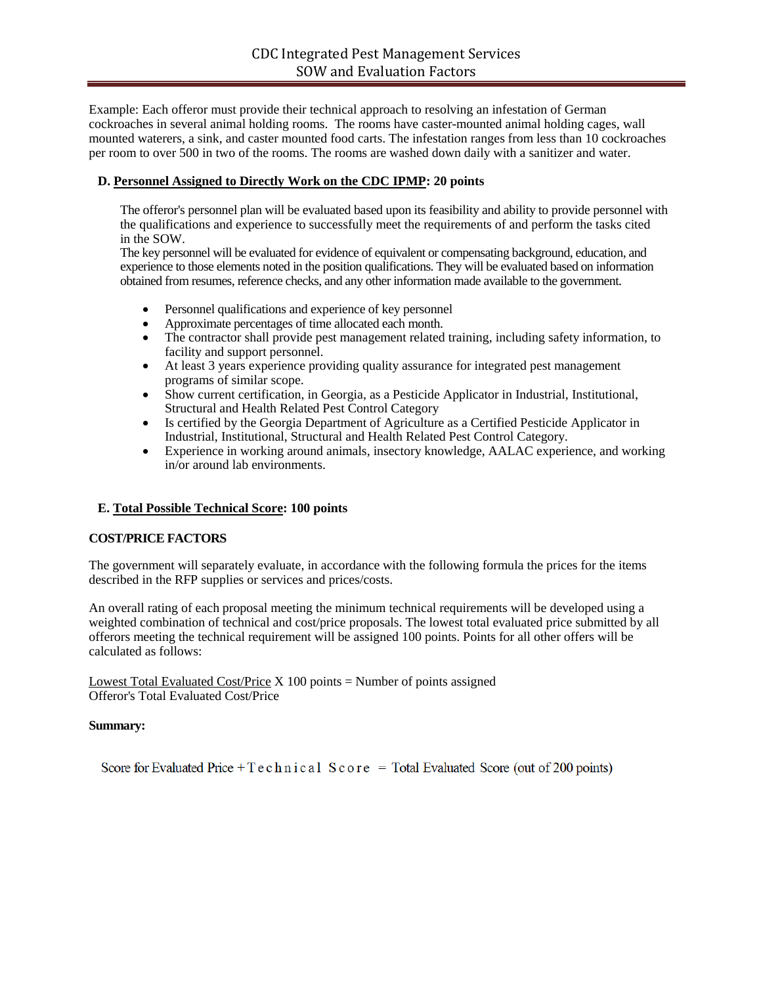Example: Each offeror must provide their technical approach to resolving an infestation of German cockroaches in several animal holding rooms. The rooms have caster-mounted animal holding cages, wall mounted waterers, a sink, and caster mounted food carts. The infestation ranges from less than 10 cockroaches per room to over 500 in two of the rooms. The rooms are washed down daily with a sanitizer and water.

### **D. Personnel Assigned to Directly Work on the CDC IPMP: 20 points**

The offeror's personnel plan will be evaluated based upon its feasibility and ability to provide personnel with the qualifications and experience to successfully meet the requirements of and perform the tasks cited in the SOW.

The key personnel will be evaluated for evidence of equivalent or compensating background, education, and experience to those elements noted in the position qualifications. They will be evaluated based on information obtained from resumes, reference checks, and any other information made available to the government.

- Personnel qualifications and experience of key personnel
- Approximate percentages of time allocated each month.
- The contractor shall provide pest management related training, including safety information, to facility and support personnel.
- At least 3 years experience providing quality assurance for integrated pest management programs of similar scope.
- Show current certification, in Georgia, as a Pesticide Applicator in Industrial, Institutional, Structural and Health Related Pest Control Category
- Is certified by the Georgia Department of Agriculture as a Certified Pesticide Applicator in Industrial, Institutional, Structural and Health Related Pest Control Category.
- Experience in working around animals, insectory knowledge, AALAC experience, and working in/or around lab environments.

# **E. Total Possible Technical Score: 100 points**

### **COST/PRICE FACTORS**

The government will separately evaluate, in accordance with the following formula the prices for the items described in the RFP supplies or services and prices/costs.

An overall rating of each proposal meeting the minimum technical requirements will be developed using a weighted combination of technical and cost/price proposals. The lowest total evaluated price submitted by all offerors meeting the technical requirement will be assigned 100 points. Points for all other offers will be calculated as follows:

Lowest Total Evaluated Cost/Price  $X$  100 points = Number of points assigned Offeror's Total Evaluated Cost/Price

### **Summary:**

Score for Evaluated Price + T e c h n i c a 1 S c o r e = Total Evaluated Score (out of 200 points)